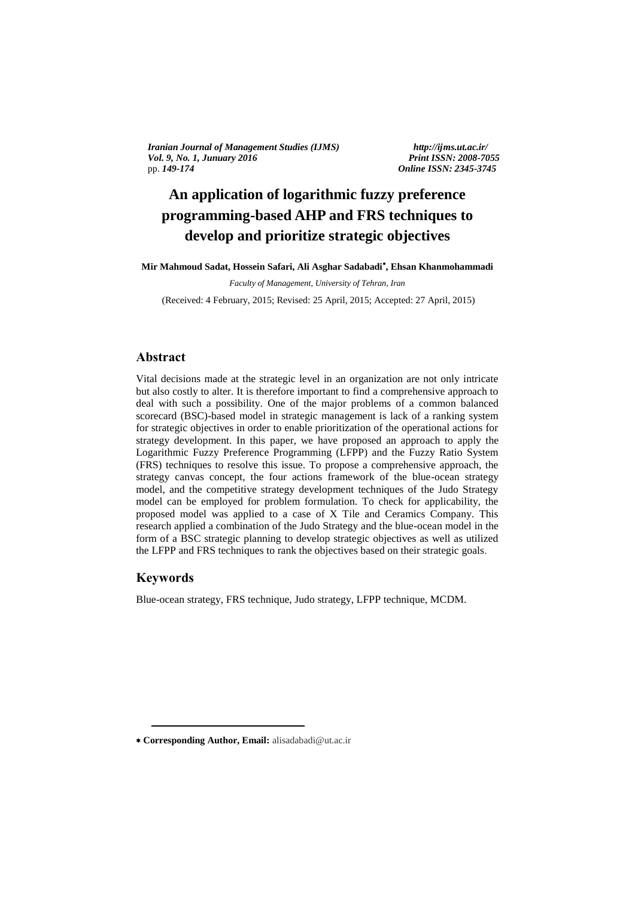*Iranian Journal of Management Studies (IJMS) http://ijms.ut.ac.ir/ Vol. 9, No. 1, Junuary 2016 Print ISSN: 2008-7055 pp. 149-174 Online ISSN: 2345-3745* 

pp. *149-174 Online ISSN: 2345-3745*

# **An application of logarithmic fuzzy preference programming-based AHP and FRS techniques to**   develop and prioritize strategic objectives

**Mir Mahmoud Sadat, Hossein Safari, Ali Asghar Sadabadi , Ehsan Khanmohammadi**

*Faculty of Management, University of Tehran, Iran*

(Received: 4 February, 2015; Revised: 25 April, 2015; Accepted: 27 April, 2015)

# **Abstract**

Vital decisions made at the strategic level in an organization are not only intricate but also costly to alter. It is therefore important to find a comprehensive approach to deal with such a possibility. One of the major problems of a common balanced scorecard (BSC)-based model in strategic management is lack of a ranking system for strategic objectives in order to enable prioritization of the operational actions for strategy development. In this paper, we have proposed an approach to apply the Logarithmic Fuzzy Preference Programming (LFPP) and the Fuzzy Ratio System (FRS) techniques to resolve this issue. To propose a comprehensive approach, the strategy canvas concept, the four actions framework of the blue-ocean strategy model, and the competitive strategy development techniques of the Judo Strategy model can be employed for problem formulation. To check for applicability, the proposed model was applied to a case of X Tile and Ceramics Company. This research applied a combination of the Judo Strategy and the blue-ocean model in the form of a BSC strategic planning to develop strategic objectives as well as utilized the LFPP and FRS techniques to rank the objectives based on their strategic goals.

### **Keywords**

1

Blue-ocean strategy, FRS technique, Judo strategy, LFPP technique, MCDM.

**Corresponding Author, Email:** alisadabadi@ut.ac.ir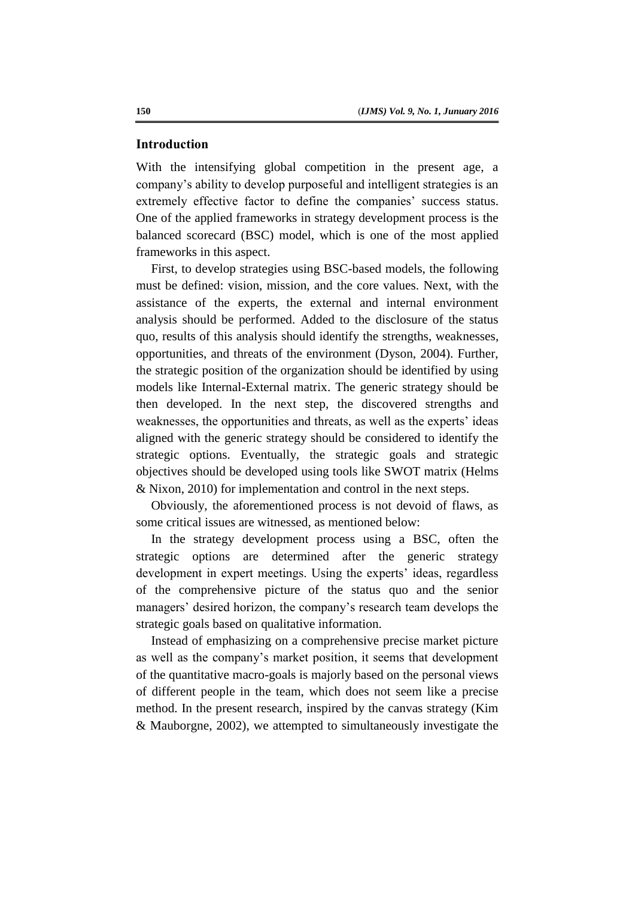### **Introduction**

With the intensifying global competition in the present age, a company's ability to develop purposeful and intelligent strategies is an extremely effective factor to define the companies' success status. One of the applied frameworks in strategy development process is the balanced scorecard (BSC) model, which is one of the most applied frameworks in this aspect.

First, to develop strategies using BSC-based models, the following must be defined: vision, mission, and the core values. Next, with the assistance of the experts, the external and internal environment analysis should be performed. Added to the disclosure of the status quo, results of this analysis should identify the strengths, weaknesses, opportunities, and threats of the environment (Dyson, 2004). Further, the strategic position of the organization should be identified by using models like Internal-External matrix. The generic strategy should be then developed. In the next step, the discovered strengths and weaknesses, the opportunities and threats, as well as the experts' ideas aligned with the generic strategy should be considered to identify the strategic options. Eventually, the strategic goals and strategic objectives should be developed using tools like SWOT matrix (Helms & Nixon, 2010) for implementation and control in the next steps.

Obviously, the aforementioned process is not devoid of flaws, as some critical issues are witnessed, as mentioned below:

In the strategy development process using a BSC, often the strategic options are determined after the generic strategy development in expert meetings. Using the experts' ideas, regardless of the comprehensive picture of the status quo and the senior managers' desired horizon, the company's research team develops the strategic goals based on qualitative information.

Instead of emphasizing on a comprehensive precise market picture as well as the company's market position, it seems that development of the quantitative macro-goals is majorly based on the personal views of different people in the team, which does not seem like a precise method. In the present research, inspired by the canvas strategy (Kim & Mauborgne, 2002), we attempted to simultaneously investigate the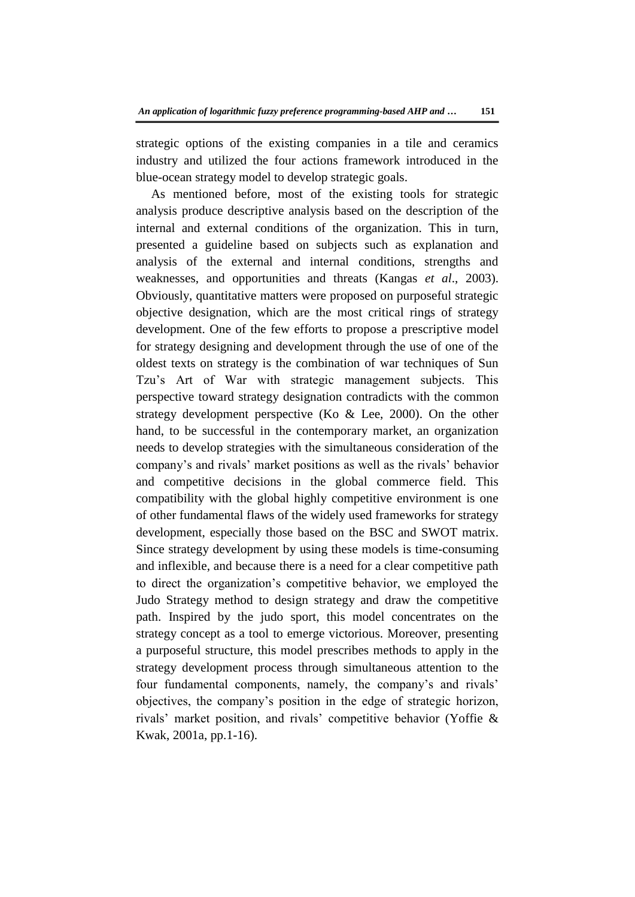strategic options of the existing companies in a tile and ceramics industry and utilized the four actions framework introduced in the blue-ocean strategy model to develop strategic goals.

As mentioned before, most of the existing tools for strategic analysis produce descriptive analysis based on the description of the internal and external conditions of the organization. This in turn, presented a guideline based on subjects such as explanation and analysis of the external and internal conditions, strengths and weaknesses, and opportunities and threats (Kangas *et al*., 2003). Obviously, quantitative matters were proposed on purposeful strategic objective designation, which are the most critical rings of strategy development. One of the few efforts to propose a prescriptive model for strategy designing and development through the use of one of the oldest texts on strategy is the combination of war techniques of Sun Tzu's Art of War with strategic management subjects. This perspective toward strategy designation contradicts with the common strategy development perspective (Ko & Lee, 2000). On the other hand, to be successful in the contemporary market, an organization needs to develop strategies with the simultaneous consideration of the company's and rivals' market positions as well as the rivals' behavior and competitive decisions in the global commerce field. This compatibility with the global highly competitive environment is one of other fundamental flaws of the widely used frameworks for strategy development, especially those based on the BSC and SWOT matrix. Since strategy development by using these models is time-consuming and inflexible, and because there is a need for a clear competitive path to direct the organization's competitive behavior, we employed the Judo Strategy method to design strategy and draw the competitive path. Inspired by the judo sport, this model concentrates on the strategy concept as a tool to emerge victorious. Moreover, presenting a purposeful structure, this model prescribes methods to apply in the strategy development process through simultaneous attention to the four fundamental components, namely, the company's and rivals' objectives, the company's position in the edge of strategic horizon, rivals' market position, and rivals' competitive behavior (Yoffie & Kwak, 2001a, pp.1-16).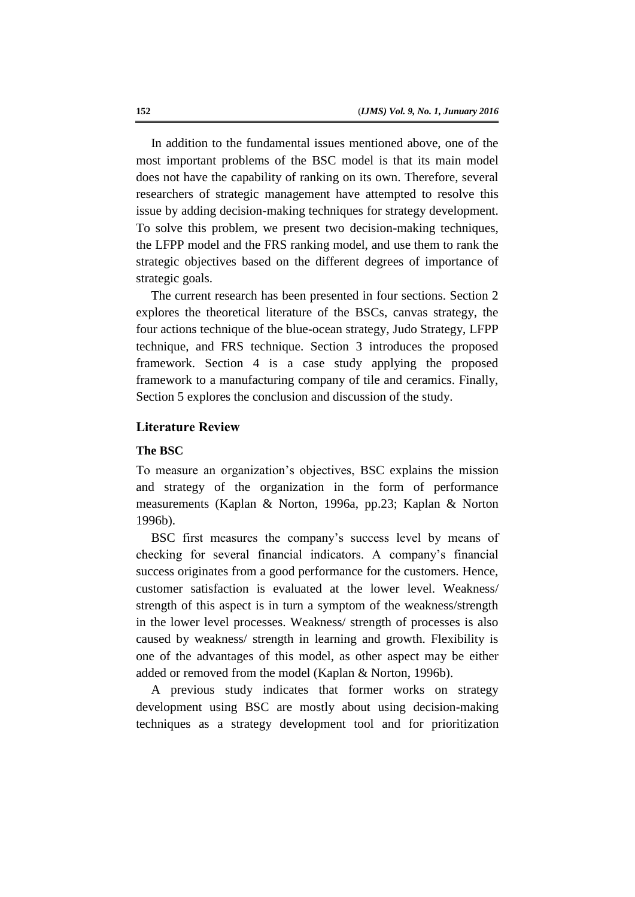In addition to the fundamental issues mentioned above, one of the most important problems of the BSC model is that its main model does not have the capability of ranking on its own. Therefore, several researchers of strategic management have attempted to resolve this issue by adding decision-making techniques for strategy development. To solve this problem, we present two decision-making techniques, the LFPP model and the FRS ranking model, and use them to rank the strategic objectives based on the different degrees of importance of strategic goals.

The current research has been presented in four sections. Section 2 explores the theoretical literature of the BSCs, canvas strategy, the four actions technique of the blue-ocean strategy, Judo Strategy, LFPP technique, and FRS technique. Section 3 introduces the proposed framework. Section 4 is a case study applying the proposed framework to a manufacturing company of tile and ceramics. Finally, Section 5 explores the conclusion and discussion of the study.

### **Literature Review**

#### **The BSC**

To measure an organization's objectives, BSC explains the mission and strategy of the organization in the form of performance measurements (Kaplan & Norton, 1996a, pp.23; Kaplan & Norton 1996b).

BSC first measures the company's success level by means of checking for several financial indicators. A company's financial success originates from a good performance for the customers. Hence, customer satisfaction is evaluated at the lower level. Weakness/ strength of this aspect is in turn a symptom of the weakness/strength in the lower level processes. Weakness/ strength of processes is also caused by weakness/ strength in learning and growth. Flexibility is one of the advantages of this model, as other aspect may be either added or removed from the model (Kaplan & Norton, 1996b).

A previous study indicates that former works on strategy development using BSC are mostly about using decision-making techniques as a strategy development tool and for prioritization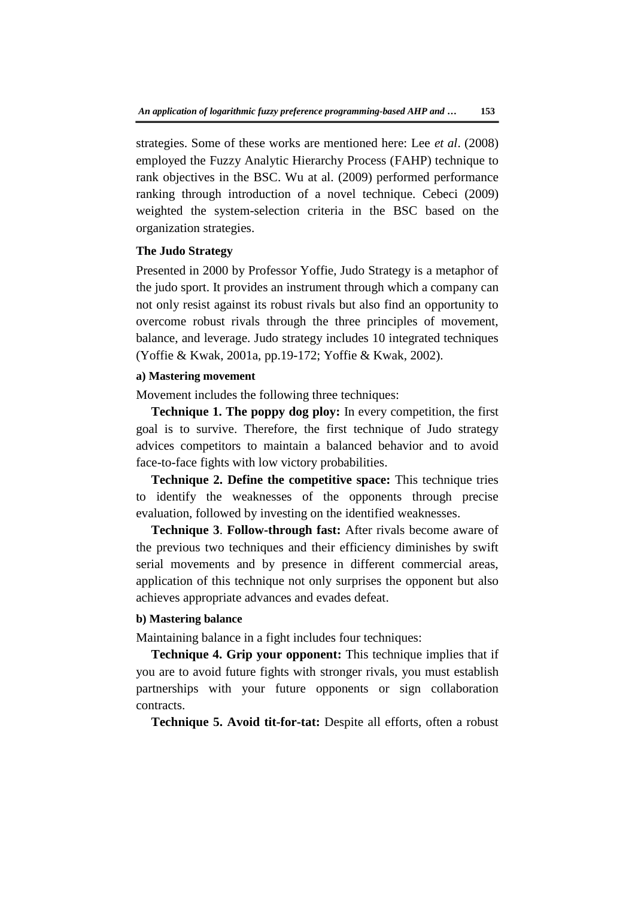strategies. Some of these works are mentioned here: Lee *et al*. (2008) employed the Fuzzy Analytic Hierarchy Process (FAHP) technique to rank objectives in the BSC. Wu at al. (2009) performed performance ranking through introduction of a novel technique. Cebeci (2009) weighted the system-selection criteria in the BSC based on the organization strategies.

# **The Judo Strategy**

Presented in 2000 by Professor Yoffie, Judo Strategy is a metaphor of the judo sport. It provides an instrument through which a company can not only resist against its robust rivals but also find an opportunity to overcome robust rivals through the three principles of movement, balance, and leverage. Judo strategy includes 10 integrated techniques (Yoffie & Kwak, 2001a, pp.19-172; Yoffie & Kwak, 2002).

### **a) Mastering movement**

Movement includes the following three techniques:

**Technique 1. The poppy dog ploy:** In every competition, the first goal is to survive. Therefore, the first technique of Judo strategy advices competitors to maintain a balanced behavior and to avoid face-to-face fights with low victory probabilities.

**Technique 2. Define the competitive space:** This technique tries to identify the weaknesses of the opponents through precise evaluation, followed by investing on the identified weaknesses.

**Technique 3**. **Follow-through fast:** After rivals become aware of the previous two techniques and their efficiency diminishes by swift serial movements and by presence in different commercial areas, application of this technique not only surprises the opponent but also achieves appropriate advances and evades defeat.

#### **b) Mastering balance**

Maintaining balance in a fight includes four techniques:

**Technique 4. Grip your opponent:** This technique implies that if you are to avoid future fights with stronger rivals, you must establish partnerships with your future opponents or sign collaboration contracts.

**Technique 5. Avoid tit-for-tat:** Despite all efforts, often a robust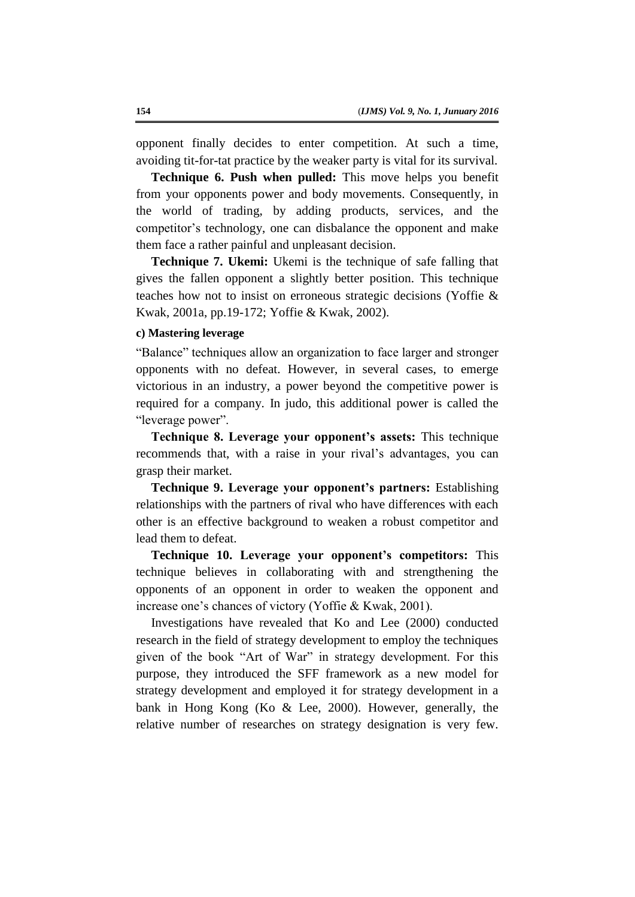opponent finally decides to enter competition. At such a time, avoiding tit-for-tat practice by the weaker party is vital for its survival.

**Technique 6. Push when pulled:** This move helps you benefit from your opponents power and body movements. Consequently, in the world of trading, by adding products, services, and the competitor's technology, one can disbalance the opponent and make them face a rather painful and unpleasant decision.

**Technique 7. Ukemi:** Ukemi is the technique of safe falling that gives the fallen opponent a slightly better position. This technique teaches how not to insist on erroneous strategic decisions (Yoffie & Kwak, 2001a, pp.19-172; Yoffie & Kwak, 2002).

### **c) Mastering leverage**

"Balance" techniques allow an organization to face larger and stronger opponents with no defeat. However, in several cases, to emerge victorious in an industry, a power beyond the competitive power is required for a company. In judo, this additional power is called the "leverage power".

**Technique 8. Leverage your opponent's assets:** This technique recommends that, with a raise in your rival's advantages, you can grasp their market.

**Technique 9. Leverage your opponent's partners:** Establishing relationships with the partners of rival who have differences with each other is an effective background to weaken a robust competitor and lead them to defeat.

**Technique 10. Leverage your opponent's competitors:** This technique believes in collaborating with and strengthening the opponents of an opponent in order to weaken the opponent and increase one's chances of victory (Yoffie & Kwak, 2001).

Investigations have revealed that Ko and Lee (2000) conducted research in the field of strategy development to employ the techniques given of the book "Art of War" in strategy development. For this purpose, they introduced the SFF framework as a new model for strategy development and employed it for strategy development in a bank in Hong Kong (Ko & Lee, 2000). However, generally, the relative number of researches on strategy designation is very few.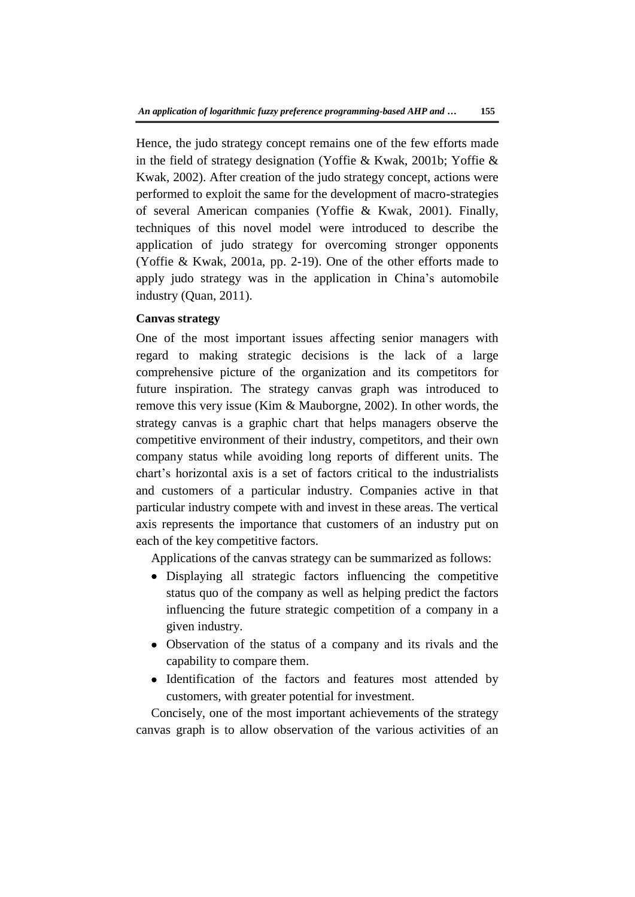Hence, the judo strategy concept remains one of the few efforts made in the field of strategy designation (Yoffie & Kwak, 2001b; Yoffie & Kwak, 2002). After creation of the judo strategy concept, actions were performed to exploit the same for the development of macro-strategies of several American companies (Yoffie & Kwak, 2001). Finally, techniques of this novel model were introduced to describe the application of judo strategy for overcoming stronger opponents (Yoffie & Kwak, 2001a, pp. 2-19). One of the other efforts made to apply judo strategy was in the application in China's automobile industry (Quan, 2011).

### **Canvas strategy**

One of the most important issues affecting senior managers with regard to making strategic decisions is the lack of a large comprehensive picture of the organization and its competitors for future inspiration. The strategy canvas graph was introduced to remove this very issue (Kim & Mauborgne, 2002). In other words, the strategy canvas is a graphic chart that helps managers observe the competitive environment of their industry, competitors, and their own company status while avoiding long reports of different units. The chart's horizontal axis is a set of factors critical to the industrialists and customers of a particular industry. Companies active in that particular industry compete with and invest in these areas. The vertical axis represents the importance that customers of an industry put on each of the key competitive factors.

Applications of the canvas strategy can be summarized as follows:

- Displaying all strategic factors influencing the competitive status quo of the company as well as helping predict the factors influencing the future strategic competition of a company in a given industry.
- Observation of the status of a company and its rivals and the capability to compare them.
- Identification of the factors and features most attended by customers, with greater potential for investment.

Concisely, one of the most important achievements of the strategy canvas graph is to allow observation of the various activities of an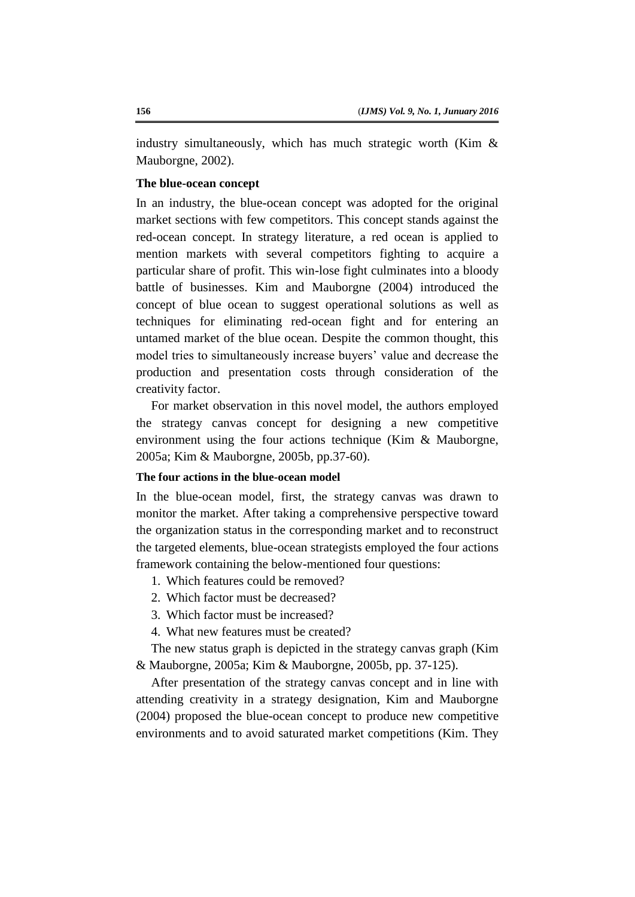industry simultaneously, which has much strategic worth (Kim  $\&$ Mauborgne, 2002).

### **The blue-ocean concept**

In an industry, the blue-ocean concept was adopted for the original market sections with few competitors. This concept stands against the red-ocean concept. In strategy literature, a red ocean is applied to mention markets with several competitors fighting to acquire a particular share of profit. This win-lose fight culminates into a bloody battle of businesses. Kim and Mauborgne (2004) introduced the concept of blue ocean to suggest operational solutions as well as techniques for eliminating red-ocean fight and for entering an untamed market of the blue ocean. Despite the common thought, this model tries to simultaneously increase buyers' value and decrease the production and presentation costs through consideration of the creativity factor.

For market observation in this novel model, the authors employed the strategy canvas concept for designing a new competitive environment using the four actions technique (Kim & Mauborgne, 2005a; Kim & Mauborgne, 2005b, pp.37-60).

# **The four actions in the blue-ocean model**

In the blue-ocean model, first, the strategy canvas was drawn to monitor the market. After taking a comprehensive perspective toward the organization status in the corresponding market and to reconstruct the targeted elements, blue-ocean strategists employed the four actions framework containing the below-mentioned four questions:

- 1. Which features could be removed?
- 2. Which factor must be decreased?
- 3. Which factor must be increased?
- 4. What new features must be created?

The new status graph is depicted in the strategy canvas graph (Kim & Mauborgne, 2005a; Kim & Mauborgne, 2005b, pp. 37-125).

After presentation of the strategy canvas concept and in line with attending creativity in a strategy designation, Kim and Mauborgne (2004) proposed the blue-ocean concept to produce new competitive environments and to avoid saturated market competitions (Kim. They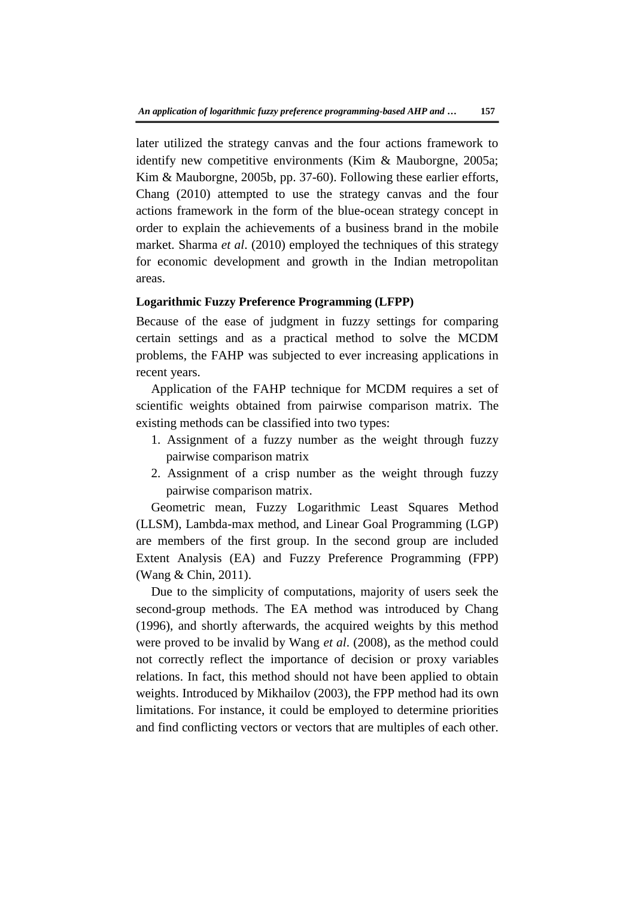later utilized the strategy canvas and the four actions framework to identify new competitive environments (Kim & Mauborgne, 2005a; Kim & Mauborgne, 2005b, pp. 37-60). Following these earlier efforts, Chang (2010) attempted to use the strategy canvas and the four actions framework in the form of the blue-ocean strategy concept in order to explain the achievements of a business brand in the mobile market. Sharma *et al*. (2010) employed the techniques of this strategy for economic development and growth in the Indian metropolitan areas.

### **Logarithmic Fuzzy Preference Programming (LFPP)**

Because of the ease of judgment in fuzzy settings for comparing certain settings and as a practical method to solve the MCDM problems, the FAHP was subjected to ever increasing applications in recent years.

Application of the FAHP technique for MCDM requires a set of scientific weights obtained from pairwise comparison matrix. The existing methods can be classified into two types:

- 1. Assignment of a fuzzy number as the weight through fuzzy pairwise comparison matrix
- 2. Assignment of a crisp number as the weight through fuzzy pairwise comparison matrix.

Geometric mean, Fuzzy Logarithmic Least Squares Method (LLSM), Lambda-max method, and Linear Goal Programming (LGP) are members of the first group. In the second group are included Extent Analysis (EA) and Fuzzy Preference Programming (FPP) (Wang & Chin, 2011).

Due to the simplicity of computations, majority of users seek the second-group methods. The EA method was introduced by Chang (1996), and shortly afterwards, the acquired weights by this method were proved to be invalid by Wang *et al*. (2008), as the method could not correctly reflect the importance of decision or proxy variables relations. In fact, this method should not have been applied to obtain weights. Introduced by Mikhailov (2003), the FPP method had its own limitations. For instance, it could be employed to determine priorities and find conflicting vectors or vectors that are multiples of each other.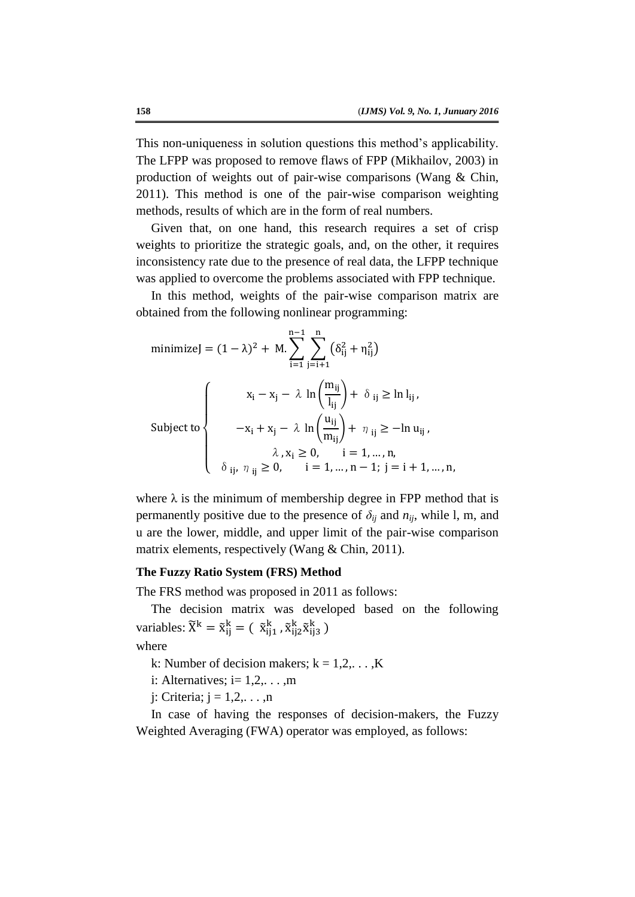This non-uniqueness in solution questions this method's applicability. The LFPP was proposed to remove flaws of FPP (Mikhailov, 2003) in production of weights out of pair-wise comparisons (Wang & Chin, 2011). This method is one of the pair-wise comparison weighting methods, results of which are in the form of real numbers.

Given that, on one hand, this research requires a set of crisp weights to prioritize the strategic goals, and, on the other, it requires inconsistency rate due to the presence of real data, the LFPP technique was applied to overcome the problems associated with FPP technique.

In this method, weights of the pair-wise comparison matrix are obtained from the following nonlinear programming:

$$
\begin{aligned}\n\text{minimize} & \mathbf{J} = (1 - \lambda)^2 + \mathbf{M} \cdot \sum_{i=1}^{n-1} \sum_{j=i+1}^{n} (\delta_{ij}^2 + \eta_{ij}^2) \\
\text{Subject to} & \begin{cases}\n\mathbf{x}_i - \mathbf{x}_j - \lambda \ln\left(\frac{m_{ij}}{l_{ij}}\right) + \delta_{ij} \ge \ln l_{ij}, \\
-\mathbf{x}_i + \mathbf{x}_j - \lambda \ln\left(\frac{u_{ij}}{m_{ij}}\right) + \eta_{ij} \ge -\ln u_{ij}, \\
\lambda, \mathbf{x}_i \ge 0, \quad i = 1, \dots, n, \\
\delta_{ij}, \eta_{ij} \ge 0, \quad i = 1, \dots, n-1; \ j = i+1, \dots, n,\n\end{cases}\n\end{aligned}
$$

where  $\lambda$  is the minimum of membership degree in FPP method that is permanently positive due to the presence of  $\delta_{ij}$  and  $n_{ij}$ , while l, m, and u are the lower, middle, and upper limit of the pair-wise comparison matrix elements, respectively (Wang & Chin, 2011).

#### **The Fuzzy Ratio System (FRS) Method**

The FRS method was proposed in 2011 as follows:

The decision matrix was developed based on the following variables:  $\widetilde{X}^k = \widetilde{x}_{ii}^k = (\widetilde{x}_{ii1}^k, \widetilde{x}_{ii2}^k, \widetilde{x}_{ii3}^k)$ 

where

k: Number of decision makers;  $k = 1, 2, \dots, K$ 

i: Alternatives;  $i=1,2,\ldots,m$ 

 $i:$  Criteria;  $j = 1, 2, \ldots, n$ 

In case of having the responses of decision-makers, the Fuzzy Weighted Averaging (FWA) operator was employed, as follows: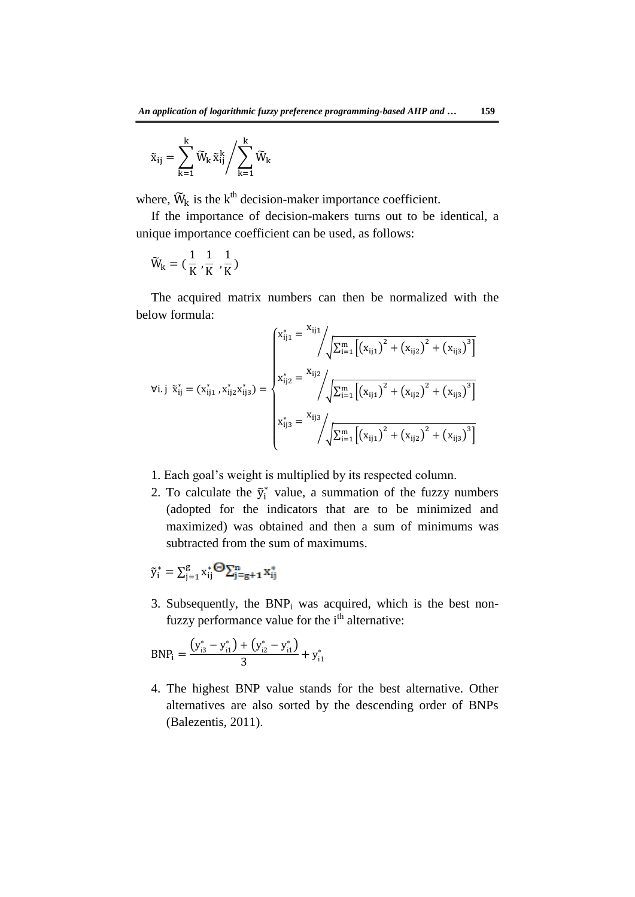$$
\tilde{x}_{ij}=\sum_{k=1}^k \widetilde{W}_k\, \tilde{x}_{ij}^k\Bigg/\sum_{k=1}^k \widetilde{W}_k
$$

where,  $\widetilde{W}_k$  is the k<sup>th</sup> decision-maker importance coefficient.

If the importance of decision-makers turns out to be identical, a unique importance coefficient can be used, as follows:

$$
\widetilde{W}_k=(\frac{1}{K},\frac{1}{K},\frac{1}{K})
$$

The acquired matrix numbers can then be normalized with the below formula:

$$
\forall i. j \ \tilde{x}_{ij}^{*} = (x_{ij1}^{*}, x_{ij2}^{*} x_{ij3}^{*}) = \begin{cases} x_{ij1}^{*} \sqrt{\sum_{i=1}^{m} \left[ \left( x_{ij1} \right)^{2} + \left( x_{ij2} \right)^{2} + \left( x_{ij3} \right)^{3} \right]} \\ x_{ij2}^{*} = \sqrt{\sqrt{\sum_{i=1}^{m} \left[ \left( x_{ij1} \right)^{2} + \left( x_{ij2} \right)^{2} + \left( x_{ij3} \right)^{3} \right] }} \\ x_{ij3}^{*} = \sqrt{\sqrt{\sum_{i=1}^{m} \left[ \left( x_{ij1} \right)^{2} + \left( x_{ij2} \right)^{2} + \left( x_{ij3} \right)^{3} \right] }} \end{cases}
$$

- 1. Each goal's weight is multiplied by its respected column.
- 2. To calculate the  $\tilde{y}_i^*$  value, a summation of the fuzzy numbers (adopted for the indicators that are to be minimized and maximized) was obtained and then a sum of minimums was subtracted from the sum of maximums.

$$
\tilde{\mathbf{y}}_i^* = \sum_{j=1}^g \mathbf{x}_{ij}^* \boldsymbol{\Theta} \sum_{j=g+1}^n \mathbf{x}_{ij}^*
$$

3. Subsequently, the  $BNP_i$  was acquired, which is the best nonfuzzy performance value for the i<sup>th</sup> alternative:

$$
BNP_i = \frac{(y_{i3}^* - y_{i1}^*) + (y_{i2}^* - y_{i1}^*)}{3} + y_{i1}^*
$$

4. The highest BNP value stands for the best alternative. Other alternatives are also sorted by the descending order of BNPs (Balezentis, 2011).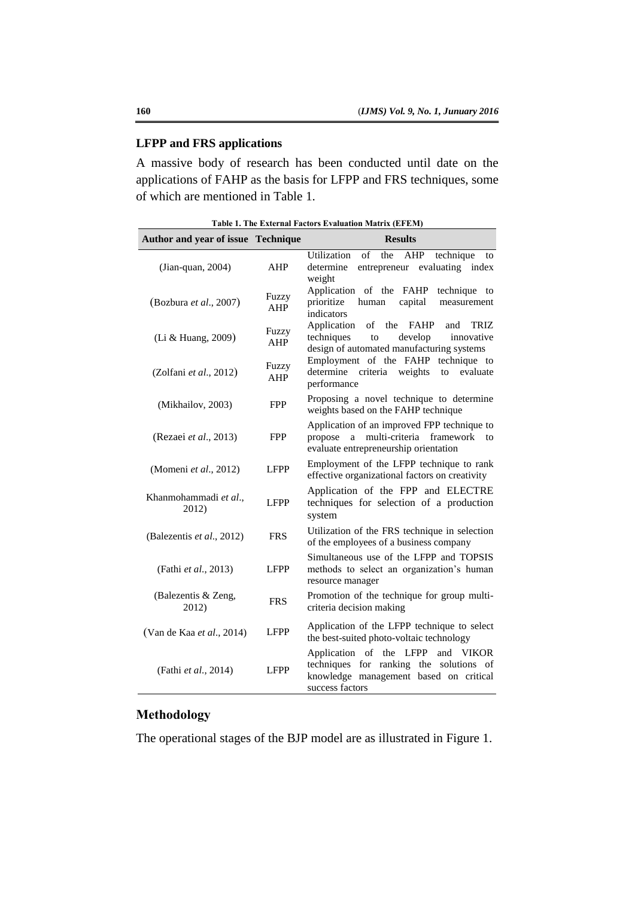# **LFPP and FRS applications**

A massive body of research has been conducted until date on the applications of FAHP as the basis for LFPP and FRS techniques, some of which are mentioned in Table 1.

|  |  |  |  | Table 1. The External Factors Evaluation Matrix (EFEM) |  |  |
|--|--|--|--|--------------------------------------------------------|--|--|
|--|--|--|--|--------------------------------------------------------|--|--|

| Author and year of issue Technique |              | <b>Results</b>                                                                                                                                   |
|------------------------------------|--------------|--------------------------------------------------------------------------------------------------------------------------------------------------|
| $($ Jian-quan, 2004 $)$            | AHP          | of the<br>Utilization<br>AHP<br>technique<br>to<br>entrepreneur evaluating index<br>determine<br>weight                                          |
| (Bozbura et al., 2007)             | Fuzzy<br>AHP | Application of the FAHP<br>technique to<br>prioritize<br>human<br>capital<br>measurement<br>indicators                                           |
| (Li & Huang, 2009)                 | Fuzzy<br>AHP | Application<br>the<br><b>FAHP</b><br>of<br>and<br>TRIZ<br>techniques<br>innovative<br>to<br>develop<br>design of automated manufacturing systems |
| (Zolfani et al., 2012)             | Fuzzy<br>AHP | Employment of the FAHP technique to<br>determine<br>criteria<br>weights<br>evaluate<br>to<br>performance                                         |
| (Mikhailov, 2003)                  | <b>FPP</b>   | Proposing a novel technique to determine<br>weights based on the FAHP technique                                                                  |
| (Rezaei et al., 2013)              | <b>FPP</b>   | Application of an improved FPP technique to<br>multi-criteria framework<br>a<br>propose<br>to<br>evaluate entrepreneurship orientation           |
| (Momeni et al., 2012)              | <b>LFPP</b>  | Employment of the LFPP technique to rank<br>effective organizational factors on creativity                                                       |
| Khanmohammadi et al.,<br>2012)     | <b>LFPP</b>  | Application of the FPP and ELECTRE<br>techniques for selection of a production<br>system                                                         |
| (Balezentis et al., 2012)          | <b>FRS</b>   | Utilization of the FRS technique in selection<br>of the employees of a business company                                                          |
| (Fathi et al., 2013)               | <b>LFPP</b>  | Simultaneous use of the LFPP and TOPSIS<br>methods to select an organization's human<br>resource manager                                         |
| (Balezentis & Zeng,<br>2012)       | <b>FRS</b>   | Promotion of the technique for group multi-<br>criteria decision making                                                                          |
| (Van de Kaa et al., 2014)          | LFPP         | Application of the LFPP technique to select<br>the best-suited photo-voltaic technology                                                          |
| (Fathi et al., 2014)               | LFPP         | Application of the LFPP<br>and VIKOR<br>techniques for ranking the solutions of<br>knowledge management based on critical<br>success factors     |

# **Methodology**

The operational stages of the BJP model are as illustrated in Figure 1.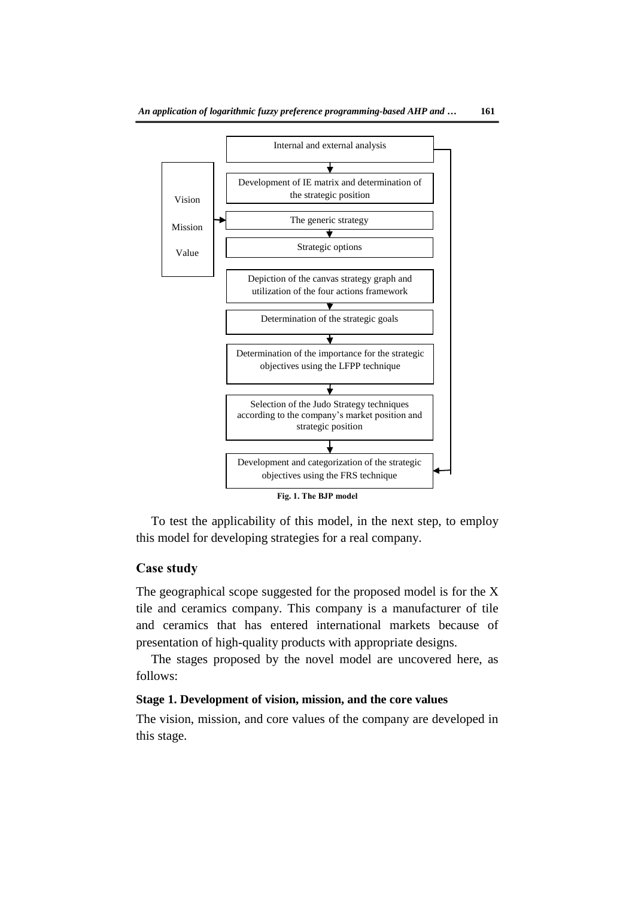

To test the applicability of this model, in the next step, to employ this model for developing strategies for a real company.

### **Case study**

The geographical scope suggested for the proposed model is for the X tile and ceramics company. This company is a manufacturer of tile and ceramics that has entered international markets because of presentation of high-quality products with appropriate designs.

The stages proposed by the novel model are uncovered here, as follows:

# **Stage 1. Development of vision, mission, and the core values**

The vision, mission, and core values of the company are developed in this stage.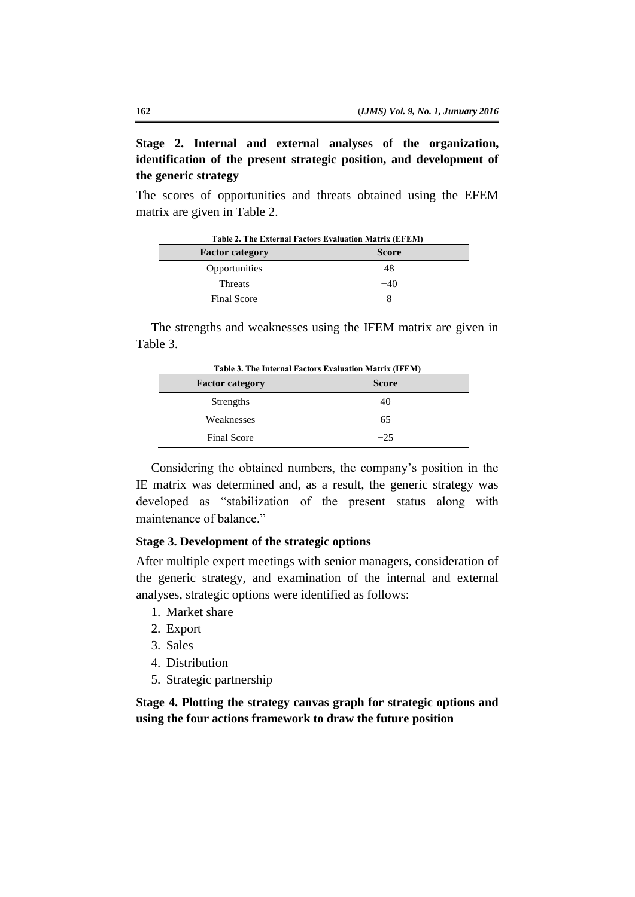**Stage 2. Internal and external analyses of the organization, identification of the present strategic position, and development of the generic strategy**

The scores of opportunities and threats obtained using the EFEM matrix are given in Table 2.

| Table 2. The External Factors Evaluation Matrix (EFEM) |              |  |  |  |
|--------------------------------------------------------|--------------|--|--|--|
| <b>Factor category</b>                                 | <b>Score</b> |  |  |  |
| Opportunities                                          | 48           |  |  |  |
| <b>Threats</b>                                         | $-40$        |  |  |  |
| <b>Final Score</b>                                     | x            |  |  |  |

The strengths and weaknesses using the IFEM matrix are given in Table 3.

| Table 3. The Internal Factors Evaluation Matrix (IFEM) |              |  |  |  |
|--------------------------------------------------------|--------------|--|--|--|
| <b>Factor category</b>                                 | <b>Score</b> |  |  |  |
| Strengths                                              | 40           |  |  |  |
| Weaknesses                                             | 65           |  |  |  |
| <b>Final Score</b>                                     | $-25$        |  |  |  |

Considering the obtained numbers, the company's position in the IE matrix was determined and, as a result, the generic strategy was developed as "stabilization of the present status along with maintenance of balance."

### **Stage 3. Development of the strategic options**

After multiple expert meetings with senior managers, consideration of the generic strategy, and examination of the internal and external analyses, strategic options were identified as follows:

- 1. Market share
- 2. Export
- 3. Sales
- 4. Distribution
- 5. Strategic partnership

**Stage 4. Plotting the strategy canvas graph for strategic options and using the four actions framework to draw the future position**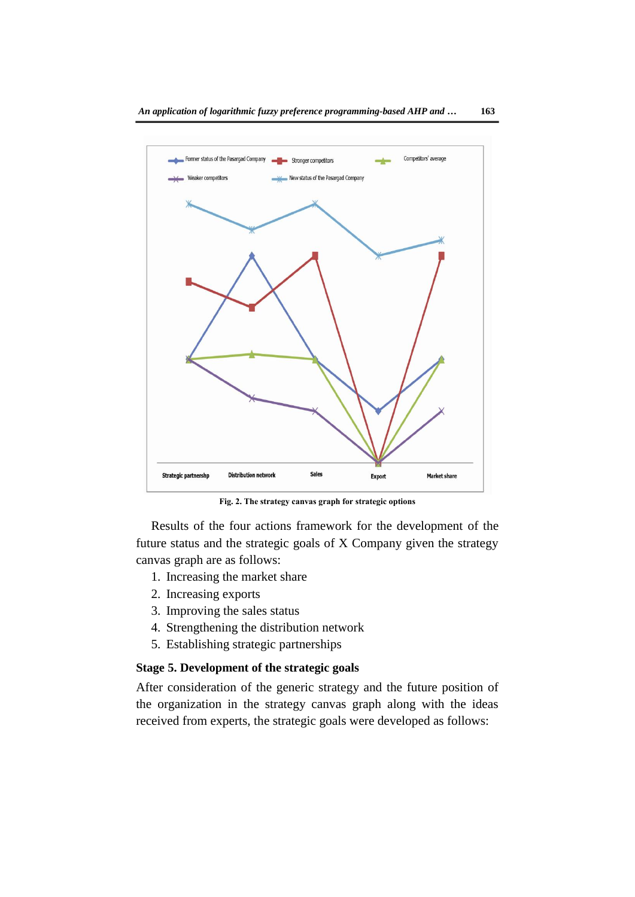

**Fig. 2. The strategy canvas graph for strategic options**

Results of the four actions framework for the development of the future status and the strategic goals of X Company given the strategy canvas graph are as follows:

- 1. Increasing the market share
- 2. Increasing exports
- 3. Improving the sales status
- 4. Strengthening the distribution network
- 5. Establishing strategic partnerships

# **Stage 5. Development of the strategic goals**

After consideration of the generic strategy and the future position of the organization in the strategy canvas graph along with the ideas received from experts, the strategic goals were developed as follows: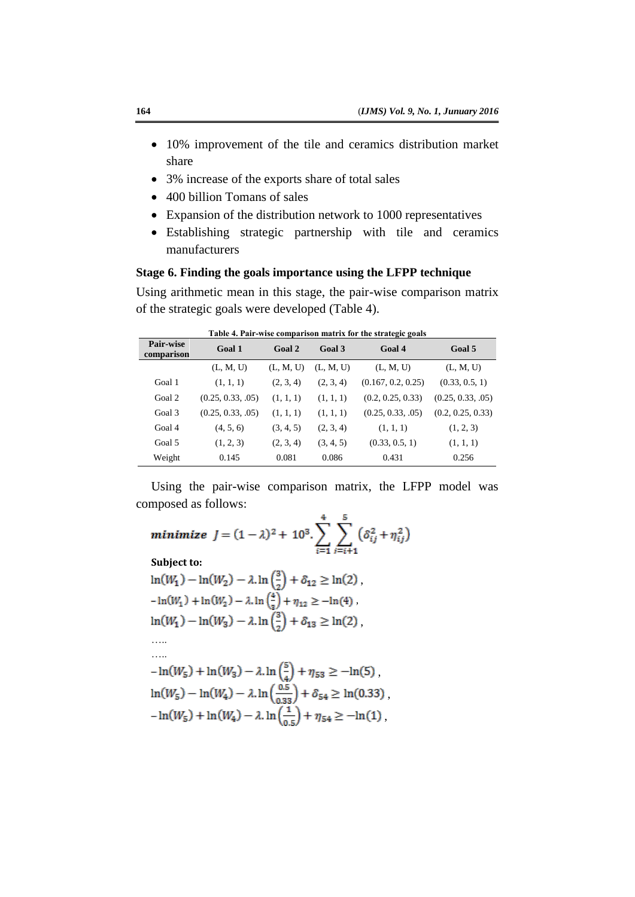- 10% improvement of the tile and ceramics distribution market share
- 3% increase of the exports share of total sales
- 400 billion Tomans of sales
- Expansion of the distribution network to 1000 representatives
- Establishing strategic partnership with tile and ceramics manufacturers

### **Stage 6. Finding the goals importance using the LFPP technique**

Using arithmetic mean in this stage, the pair-wise comparison matrix of the strategic goals were developed (Table 4).

| <b>Pair-wise</b><br>comparison | Goal 1            | Goal 2    | Goal 3    | Goal 4             | Goal 5            |
|--------------------------------|-------------------|-----------|-----------|--------------------|-------------------|
|                                | (L, M, U)         | (L, M, U) | (L, M, U) | (L, M, U)          | (L, M, U)         |
| Goal 1                         | (1, 1, 1)         | (2, 3, 4) | (2, 3, 4) | (0.167, 0.2, 0.25) | (0.33, 0.5, 1)    |
| Goal 2                         | (0.25, 0.33, .05) | (1, 1, 1) | (1, 1, 1) | (0.2, 0.25, 0.33)  | (0.25, 0.33, .05) |
| Goal 3                         | (0.25, 0.33, .05) | (1, 1, 1) | (1, 1, 1) | (0.25, 0.33, .05)  | (0.2, 0.25, 0.33) |
| Goal 4                         | (4, 5, 6)         | (3, 4, 5) | (2, 3, 4) | (1, 1, 1)          | (1, 2, 3)         |
| Goal 5                         | (1, 2, 3)         | (2, 3, 4) | (3, 4, 5) | (0.33, 0.5, 1)     | (1, 1, 1)         |
| Weight                         | 0.145             | 0.081     | 0.086     | 0.431              | 0.256             |

**Table 4. Pair-wise comparison matrix for the strategic goals**

Using the pair-wise comparison matrix, the LFPP model was composed as follows:  $\lambda$ 

$$
\begin{aligned}\n\text{minimize} & J = (1 - \lambda)^2 + 10^3 \cdot \sum_{i=1}^4 \sum_{j=i+1}^5 \left( \delta_{ij}^2 + \eta_{ij}^2 \right) \\
\text{Subject to:} \\
\ln(W_1) - \ln(W_2) - \lambda \cdot \ln\left(\frac{3}{2}\right) + \delta_{12} \ge \ln(2) \\
& -\ln(W_1) + \ln(W_2) - \lambda \cdot \ln\left(\frac{4}{3}\right) + \eta_{12} \ge -\ln(4) \\
\ln(W_1) - \ln(W_3) - \lambda \cdot \ln\left(\frac{3}{2}\right) + \delta_{13} \ge \ln(2) \\
\dots \\
&\dots \\
-\ln(W_5) + \ln(W_3) - \lambda \cdot \ln\left(\frac{5}{4}\right) + \eta_{53} \ge -\ln(5) \\
\ln(W_5) - \ln(W_4) - \lambda \cdot \ln\left(\frac{0.5}{0.33}\right) + \delta_{54} \ge \ln(0.33) \\
& -\ln(W_5) + \ln(W_4) - \lambda \cdot \ln\left(\frac{1}{0.5}\right) + \eta_{54} \ge -\ln(1)\n\end{aligned}
$$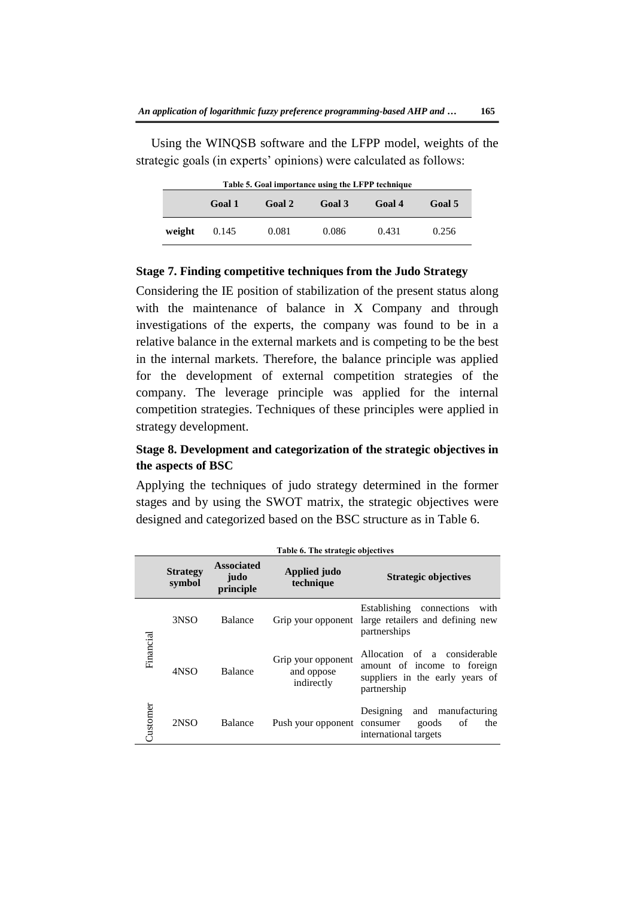Using the WINQSB software and the LFPP model, weights of the strategic goals (in experts' opinions) were calculated as follows:

|        | Table 5. Goal importance using the LFPP technique |        |        |        |        |
|--------|---------------------------------------------------|--------|--------|--------|--------|
|        | Goal 1                                            | Goal 2 | Goal 3 | Goal 4 | Goal 5 |
| weight | 0.145                                             | 0.081  | 0.086  | 0.431  | 0.256  |

#### **Stage 7. Finding competitive techniques from the Judo Strategy**

Considering the IE position of stabilization of the present status along with the maintenance of balance in X Company and through investigations of the experts, the company was found to be in a relative balance in the external markets and is competing to be the best in the internal markets. Therefore, the balance principle was applied for the development of external competition strategies of the company. The leverage principle was applied for the internal competition strategies. Techniques of these principles were applied in strategy development.

# **Stage 8. Development and categorization of the strategic objectives in the aspects of BSC**

Applying the techniques of judo strategy determined in the former stages and by using the SWOT matrix, the strategic objectives were designed and categorized based on the BSC structure as in Table 6.

|           |                           |                                        | Table 6. The strategic objectives              |                                                                                                               |
|-----------|---------------------------|----------------------------------------|------------------------------------------------|---------------------------------------------------------------------------------------------------------------|
|           | <b>Strategy</b><br>symbol | <b>Associated</b><br>judo<br>principle | Applied judo<br>technique                      | <b>Strategic objectives</b>                                                                                   |
|           | 3NSO                      | Balance                                | Grip your opponent                             | Establishing<br>connections<br>with<br>large retailers and defining new<br>partnerships                       |
| Financial | 4NSO                      | Balance                                | Grip your opponent<br>and oppose<br>indirectly | Allocation of a considerable<br>amount of income to foreign<br>suppliers in the early years of<br>partnership |
| Customer  | 2NSO                      | Balance                                | Push your opponent consumer                    | Designing<br>manufacturing<br>and<br>goods<br>of<br>the<br>international targets                              |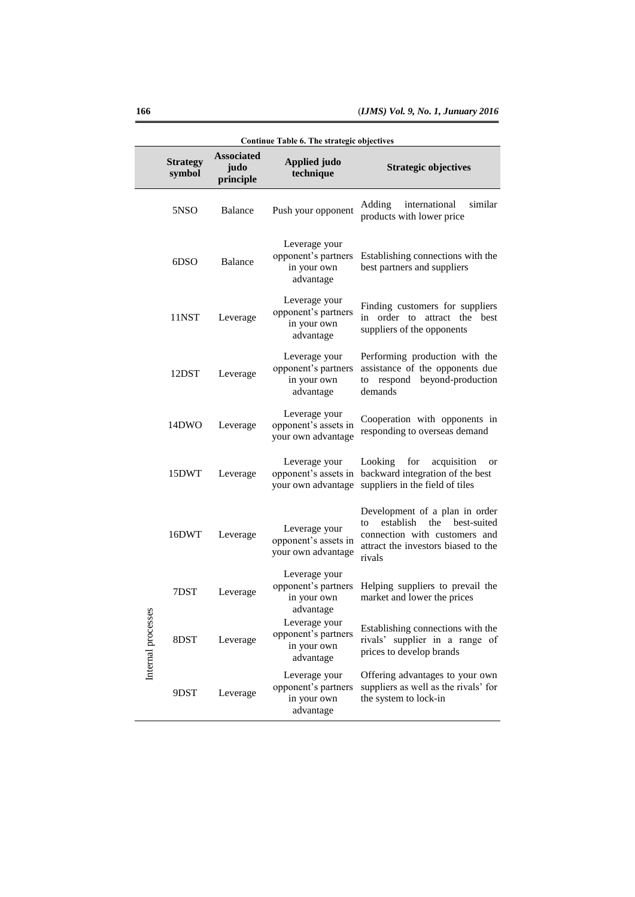|                                                                                |                                                                  |                                                                                               | Continue Table 6. The strategic objectives                       |                                                                                                                                                        |
|--------------------------------------------------------------------------------|------------------------------------------------------------------|-----------------------------------------------------------------------------------------------|------------------------------------------------------------------|--------------------------------------------------------------------------------------------------------------------------------------------------------|
|                                                                                | <b>Strategy</b><br>symbol                                        | <b>Associated</b><br>judo<br>principle                                                        | <b>Applied judo</b><br>technique                                 | <b>Strategic objectives</b>                                                                                                                            |
|                                                                                | 5NSO                                                             | Balance                                                                                       | Push your opponent                                               | similar<br>Adding<br>international<br>products with lower price                                                                                        |
| 6DSO<br>Balance<br>11NST<br>Leverage<br>12DST<br>Leverage<br>14DWO<br>Leverage |                                                                  |                                                                                               | Leverage your<br>opponent's partners<br>in your own<br>advantage | Establishing connections with the<br>best partners and suppliers                                                                                       |
|                                                                                | Leverage your<br>opponent's partners<br>in your own<br>advantage | Finding customers for suppliers<br>in order to attract the best<br>suppliers of the opponents |                                                                  |                                                                                                                                                        |
|                                                                                |                                                                  |                                                                                               | Leverage your<br>opponent's partners<br>in your own<br>advantage | Performing production with the<br>assistance of the opponents due<br>respond<br>beyond-production<br>to<br>demands                                     |
|                                                                                |                                                                  |                                                                                               | Leverage your<br>opponent's assets in<br>your own advantage      | Cooperation with opponents in<br>responding to overseas demand                                                                                         |
|                                                                                | 15DWT                                                            | Leverage                                                                                      | Leverage your<br>opponent's assets in<br>your own advantage      | Looking for<br>acquisition<br>or<br>backward integration of the best<br>suppliers in the field of tiles                                                |
|                                                                                | 16DWT                                                            | Leverage                                                                                      | Leverage your<br>opponent's assets in<br>your own advantage      | Development of a plan in order<br>establish<br>the best-suited<br>to<br>connection with customers and<br>attract the investors biased to the<br>rivals |
|                                                                                | 7DST                                                             | Leverage                                                                                      | Leverage your<br>opponent's partners<br>in your own<br>advantage | Helping suppliers to prevail the<br>market and lower the prices                                                                                        |
| Internal processes                                                             | 8DST                                                             | Leverage                                                                                      | Leverage your<br>opponent's partners<br>in your own<br>advantage | Establishing connections with the<br>rivals' supplier in a range of<br>prices to develop brands                                                        |
|                                                                                | 9DST                                                             | Leverage                                                                                      | Leverage your<br>opponent's partners<br>in your own<br>advantage | Offering advantages to your own<br>suppliers as well as the rivals' for<br>the system to lock-in                                                       |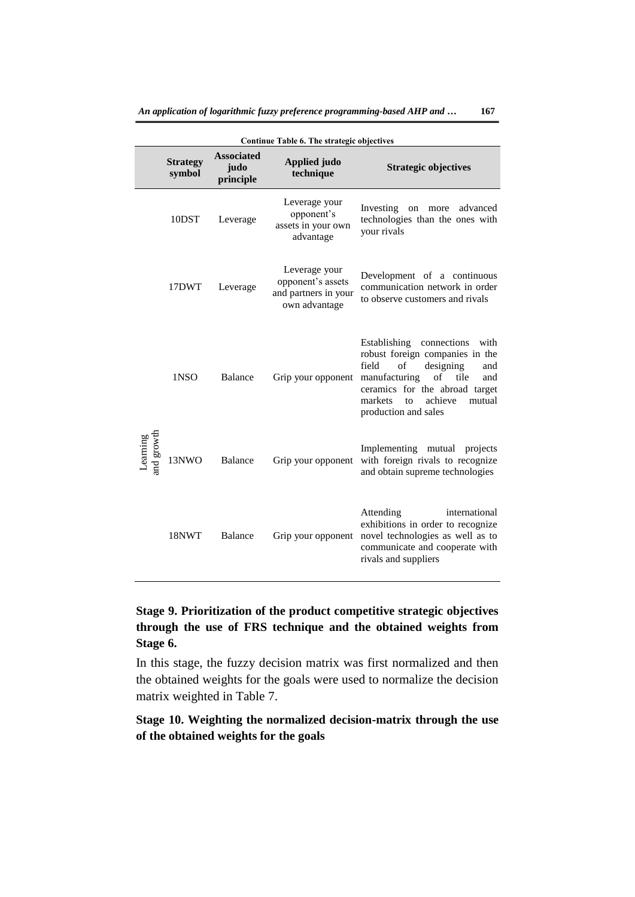|                        | Continue Table 6. The strategic objectives |                                        |                                                                             |                                                                                                                                                                                                                                              |  |  |  |  |
|------------------------|--------------------------------------------|----------------------------------------|-----------------------------------------------------------------------------|----------------------------------------------------------------------------------------------------------------------------------------------------------------------------------------------------------------------------------------------|--|--|--|--|
|                        | <b>Strategy</b><br>symbol                  | <b>Associated</b><br>judo<br>principle | <b>Applied judo</b><br>technique                                            | <b>Strategic objectives</b>                                                                                                                                                                                                                  |  |  |  |  |
|                        | 10DST                                      | Leverage                               | Leverage your<br>opponent's<br>assets in your own<br>advantage              | Investing<br>advanced<br>on<br>more<br>technologies than the ones with<br>your rivals                                                                                                                                                        |  |  |  |  |
|                        | 17DWT                                      | Leverage                               | Leverage your<br>opponent's assets<br>and partners in your<br>own advantage | Development of a continuous<br>communication network in order<br>to observe customers and rivals                                                                                                                                             |  |  |  |  |
|                        | 1NSO                                       | <b>Balance</b>                         | Grip your opponent                                                          | Establishing connections<br>with<br>robust foreign companies in the<br>field<br>designing<br>of<br>and<br>manufacturing<br>of<br>tile<br>and<br>ceramics for the abroad target<br>markets<br>achieve<br>mutual<br>to<br>production and sales |  |  |  |  |
| Learning<br>and growth | 13NWO                                      | <b>Balance</b>                         | Grip your opponent                                                          | Implementing mutual projects<br>with foreign rivals to recognize<br>and obtain supreme technologies                                                                                                                                          |  |  |  |  |
|                        | 18NWT                                      | <b>Balance</b>                         | Grip your opponent                                                          | Attending<br>international<br>exhibitions in order to recognize<br>novel technologies as well as to<br>communicate and cooperate with<br>rivals and suppliers                                                                                |  |  |  |  |

# **Stage 9. Prioritization of the product competitive strategic objectives through the use of FRS technique and the obtained weights from Stage 6.**

In this stage, the fuzzy decision matrix was first normalized and then the obtained weights for the goals were used to normalize the decision matrix weighted in Table 7.

# **Stage 10. Weighting the normalized decision-matrix through the use of the obtained weights for the goals**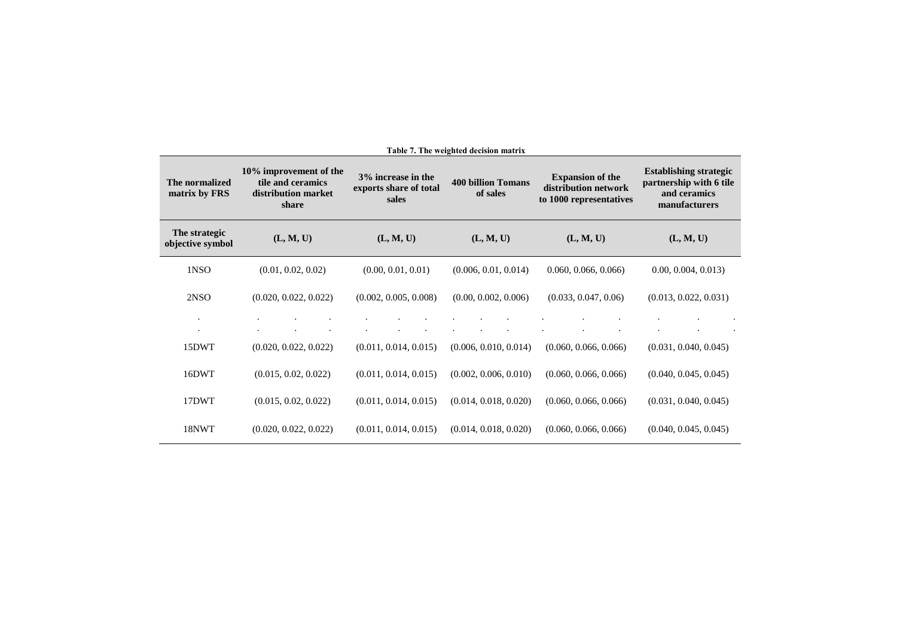| The normalized<br>matrix by FRS   | 10% improvement of the<br>tile and ceramics<br>distribution market<br>share | 3% increase in the<br>exports share of total<br>sales | <b>400 billion Tomans</b><br>of sales | <b>Expansion of the</b><br>distribution network<br>to 1000 representatives | <b>Establishing strategic</b><br>partnership with 6 tile<br>and ceramics<br>manufacturers |
|-----------------------------------|-----------------------------------------------------------------------------|-------------------------------------------------------|---------------------------------------|----------------------------------------------------------------------------|-------------------------------------------------------------------------------------------|
| The strategic<br>objective symbol | (L, M, U)                                                                   | (L, M, U)                                             | (L, M, U)                             | (L, M, U)                                                                  | (L, M, U)                                                                                 |
| 1NSO                              | (0.01, 0.02, 0.02)                                                          | (0.00, 0.01, 0.01)                                    | (0.006, 0.01, 0.014)                  | 0.060, 0.066, 0.066                                                        | 0.00, 0.004, 0.013                                                                        |
| 2NSO                              | (0.020, 0.022, 0.022)                                                       | (0.002, 0.005, 0.008)                                 | (0.00, 0.002, 0.006)                  | (0.033, 0.047, 0.06)                                                       | (0.013, 0.022, 0.031)                                                                     |
|                                   |                                                                             |                                                       |                                       |                                                                            |                                                                                           |
| 15DWT                             | (0.020, 0.022, 0.022)                                                       | (0.011, 0.014, 0.015)                                 | (0.006, 0.010, 0.014)                 | (0.060, 0.066, 0.066)                                                      | (0.031, 0.040, 0.045)                                                                     |
| 16DWT                             | (0.015, 0.02, 0.022)                                                        | (0.011, 0.014, 0.015)                                 | (0.002, 0.006, 0.010)                 | (0.060, 0.066, 0.066)                                                      | (0.040, 0.045, 0.045)                                                                     |
| 17DWT                             | (0.015, 0.02, 0.022)                                                        | (0.011, 0.014, 0.015)                                 | (0.014, 0.018, 0.020)                 | (0.060, 0.066, 0.066)                                                      | (0.031, 0.040, 0.045)                                                                     |
| 18NWT                             | (0.020, 0.022, 0.022)                                                       | (0.011, 0.014, 0.015)                                 | (0.014, 0.018, 0.020)                 | (0.060, 0.066, 0.066)                                                      | (0.040, 0.045, 0.045)                                                                     |

**Table 7. The weighted decision matrix**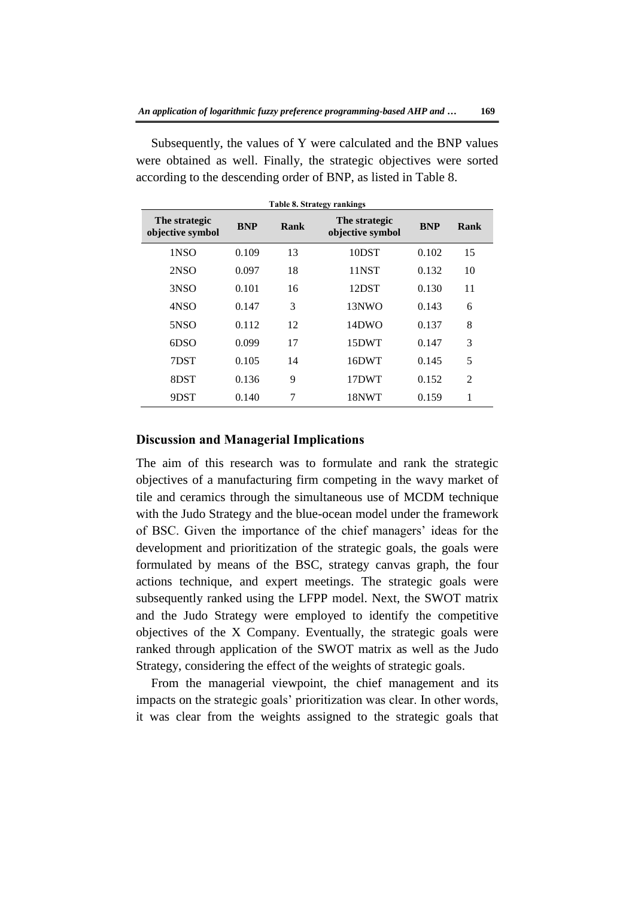| The strategic<br>objective symbol | <b>BNP</b> | Rank | The strategic<br>objective symbol | <b>BNP</b> | Rank           |
|-----------------------------------|------------|------|-----------------------------------|------------|----------------|
| 1NSO                              | 0.109      | 13   | 10DST                             | 0.102      | 15             |
| 2NSO                              | 0.097      | 18   | 11NST                             | 0.132      | 10             |
| 3NSO                              | 0.101      | 16   | 12DST                             | 0.130      | 11             |
| 4NSO                              | 0.147      | 3    | 13NWO                             | 0.143      | 6              |
| 5NSO                              | 0.112      | 12   | 14DWO                             | 0.137      | 8              |
| 6DSO                              | 0.099      | 17   | 15DWT                             | 0.147      | 3              |
| 7DST                              | 0.105      | 14   | 16DWT                             | 0.145      | 5              |
| 8DST                              | 0.136      | 9    | 17DWT                             | 0.152      | $\overline{2}$ |
| 9DST                              | 0.140      | 7    | 18NWT                             | 0.159      | 1              |

Subsequently, the values of Y were calculated and the BNP values were obtained as well. Finally, the strategic objectives were sorted according to the descending order of BNP, as listed in Table 8.

#### **Discussion and Managerial Implications**

The aim of this research was to formulate and rank the strategic objectives of a manufacturing firm competing in the wavy market of tile and ceramics through the simultaneous use of MCDM technique with the Judo Strategy and the blue-ocean model under the framework of BSC. Given the importance of the chief managers' ideas for the development and prioritization of the strategic goals, the goals were formulated by means of the BSC, strategy canvas graph, the four actions technique, and expert meetings. The strategic goals were subsequently ranked using the LFPP model. Next, the SWOT matrix and the Judo Strategy were employed to identify the competitive objectives of the X Company. Eventually, the strategic goals were ranked through application of the SWOT matrix as well as the Judo Strategy, considering the effect of the weights of strategic goals.

From the managerial viewpoint, the chief management and its impacts on the strategic goals' prioritization was clear. In other words, it was clear from the weights assigned to the strategic goals that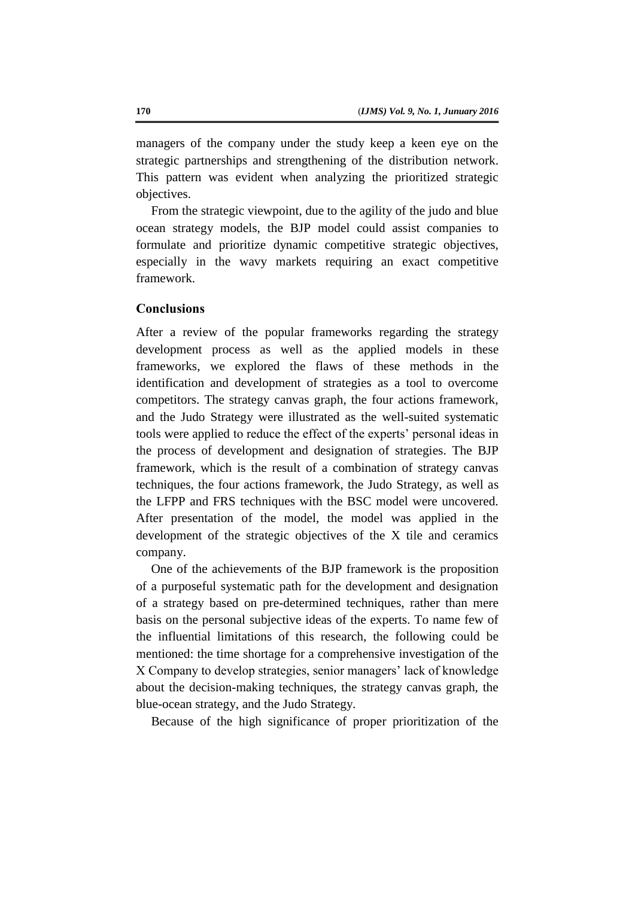managers of the company under the study keep a keen eye on the strategic partnerships and strengthening of the distribution network. This pattern was evident when analyzing the prioritized strategic objectives.

From the strategic viewpoint, due to the agility of the judo and blue ocean strategy models, the BJP model could assist companies to formulate and prioritize dynamic competitive strategic objectives, especially in the wavy markets requiring an exact competitive framework.

# **Conclusions**

After a review of the popular frameworks regarding the strategy development process as well as the applied models in these frameworks, we explored the flaws of these methods in the identification and development of strategies as a tool to overcome competitors. The strategy canvas graph, the four actions framework, and the Judo Strategy were illustrated as the well-suited systematic tools were applied to reduce the effect of the experts' personal ideas in the process of development and designation of strategies. The BJP framework, which is the result of a combination of strategy canvas techniques, the four actions framework, the Judo Strategy, as well as the LFPP and FRS techniques with the BSC model were uncovered. After presentation of the model, the model was applied in the development of the strategic objectives of the X tile and ceramics company.

One of the achievements of the BJP framework is the proposition of a purposeful systematic path for the development and designation of a strategy based on pre-determined techniques, rather than mere basis on the personal subjective ideas of the experts. To name few of the influential limitations of this research, the following could be mentioned: the time shortage for a comprehensive investigation of the X Company to develop strategies, senior managers' lack of knowledge about the decision-making techniques, the strategy canvas graph, the blue-ocean strategy, and the Judo Strategy.

Because of the high significance of proper prioritization of the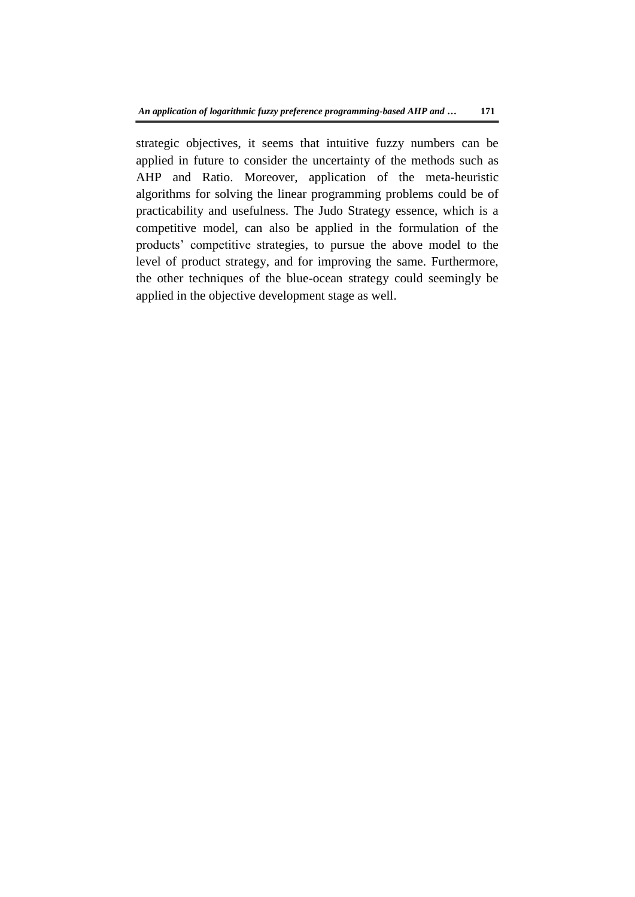strategic objectives, it seems that intuitive fuzzy numbers can be applied in future to consider the uncertainty of the methods such as AHP and Ratio. Moreover, application of the meta-heuristic algorithms for solving the linear programming problems could be of practicability and usefulness. The Judo Strategy essence, which is a competitive model, can also be applied in the formulation of the products' competitive strategies, to pursue the above model to the level of product strategy, and for improving the same. Furthermore, the other techniques of the blue-ocean strategy could seemingly be applied in the objective development stage as well.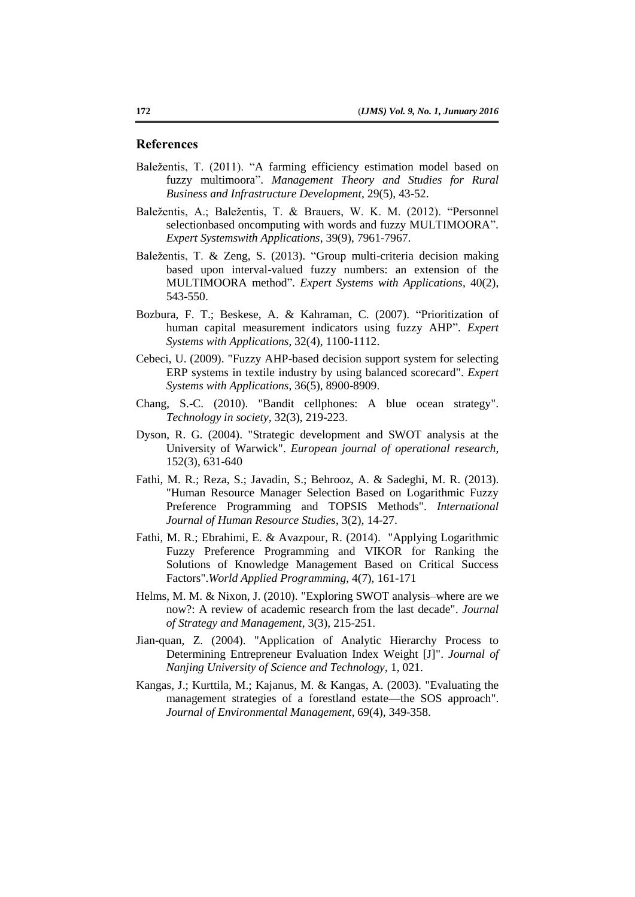#### **References**

- Baležentis, T. (2011). "A farming efficiency estimation model based on fuzzy multimoora". *Management Theory and Studies for Rural Business and Infrastructure Development*, 29(5), 43-52.
- Baležentis, A.; Baležentis, T. & Brauers, W. K. M. (2012). "Personnel selectionbased oncomputing with words and fuzzy MULTIMOORA". *Expert Systemswith Applications*, 39(9), 7961-7967.
- Baležentis, T. & Zeng, S. (2013). "Group multi-criteria decision making based upon interval-valued fuzzy numbers: an extension of the MULTIMOORA method"*. Expert Systems with Applications*, 40(2), 543-550.
- Bozbura, F. T.; Beskese, A. & Kahraman, C. (2007). "Prioritization of human capital measurement indicators using fuzzy AHP". *Expert Systems with Applications*, 32(4), 1100-1112.
- Cebeci, U. (2009). "Fuzzy AHP-based decision support system for selecting ERP systems in textile industry by using balanced scorecard". *Expert Systems with Applications*, 36(5), 8900-8909.
- Chang, S.-C. (2010). "Bandit cellphones: A blue ocean strategy". *Technology in society*, 32(3), 219-223.
- Dyson, R. G. (2004). "Strategic development and SWOT analysis at the University of Warwick". *European journal of operational research*, 152(3), 631-640
- Fathi, M. R.; Reza, S.; Javadin, S.; Behrooz, A. & Sadeghi, M. R. (2013). "Human Resource Manager Selection Based on Logarithmic Fuzzy Preference Programming and TOPSIS Methods". *International Journal of Human Resource Studies*, 3(2), 14-27.
- Fathi, M. R.; Ebrahimi, E. & Avazpour, R. (2014). "Applying Logarithmic Fuzzy Preference Programming and VIKOR for Ranking the Solutions of Knowledge Management Based on Critical Success Factors".*World Applied Programming*, 4(7), 161-171
- Helms, M. M. & Nixon, J. (2010). "Exploring SWOT analysis–where are we now?: A review of academic research from the last decade". *Journal of Strategy and Management*, 3(3), 215-251.
- Jian-quan, Z. (2004). "Application of Analytic Hierarchy Process to Determining Entrepreneur Evaluation Index Weight [J]". *Journal of Nanjing University of Science and Technology*, 1, 021.
- Kangas, J.; Kurttila, M.; Kajanus, M. & Kangas, A. (2003). "Evaluating the management strategies of a forestland estate—the SOS approach". *Journal of Environmental Management*, 69(4), 349-358.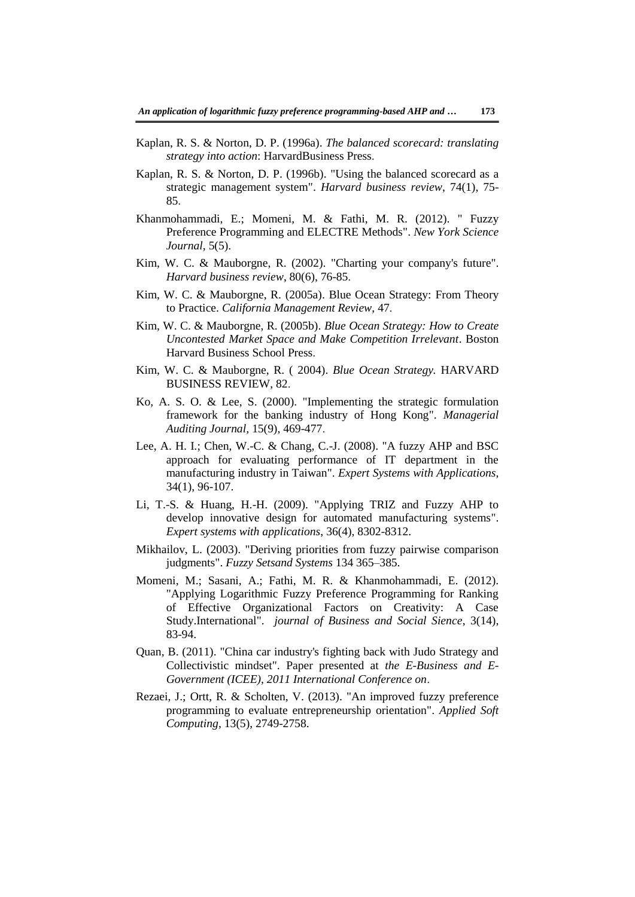- Kaplan, R. S. & Norton, D. P. (1996a). *The balanced scorecard: translating strategy into action*: HarvardBusiness Press.
- Kaplan, R. S. & Norton, D. P. (1996b). "Using the balanced scorecard as a strategic management system". *Harvard business review*, 74(1), 75- 85.
- Khanmohammadi, E.; Momeni, M. & Fathi, M. R. (2012). " Fuzzy Preference Programming and ELECTRE Methods". *New York Science Journal*, 5(5).
- Kim, W. C. & Mauborgne, R. (2002). "Charting your company's future". *Harvard business review*, 80(6), 76-85.
- Kim, W. C. & Mauborgne, R. (2005a). Blue Ocean Strategy: From Theory to Practice. *California Management Review*, 47.
- Kim, W. C. & Mauborgne, R. (2005b). *Blue Ocean Strategy: How to Create Uncontested Market Space and Make Competition Irrelevant*. Boston Harvard Business School Press.
- Kim, W. C. & Mauborgne, R. ( 2004). *Blue Ocean Strategy.* HARVARD BUSINESS REVIEW, 82.
- Ko, A. S. O. & Lee, S. (2000). "Implementing the strategic formulation framework for the banking industry of Hong Kong". *Managerial Auditing Journal,* 15(9), 469-477.
- Lee, A. H. I.; Chen, W.-C. & Chang, C.-J. (2008). "A fuzzy AHP and BSC approach for evaluating performance of IT department in the manufacturing industry in Taiwan". *Expert Systems with Applications*, 34(1), 96-107.
- Li, T.-S. & Huang, H.-H. (2009). "Applying TRIZ and Fuzzy AHP to develop innovative design for automated manufacturing systems". *Expert systems with applications*, 36(4), 8302-8312.
- Mikhailov, L. (2003). "Deriving priorities from fuzzy pairwise comparison judgments". *Fuzzy Setsand Systems* 134 365–385.
- Momeni, M.; Sasani, A.; Fathi, M. R. & Khanmohammadi, E. (2012). "Applying Logarithmic Fuzzy Preference Programming for Ranking of Effective Organizational Factors on Creativity: A Case Study.International". *journal of Business and Social Sience*, 3(14), 83-94.
- Quan, B. (2011). "China car industry's fighting back with Judo Strategy and Collectivistic mindset". Paper presented at *the E-Business and E-Government (ICEE), 2011 International Conference on*.
- Rezaei, J.; Ortt, R. & Scholten, V. (2013). "An improved fuzzy preference programming to evaluate entrepreneurship orientation". *Applied Soft Computing*, 13(5), 2749-2758.